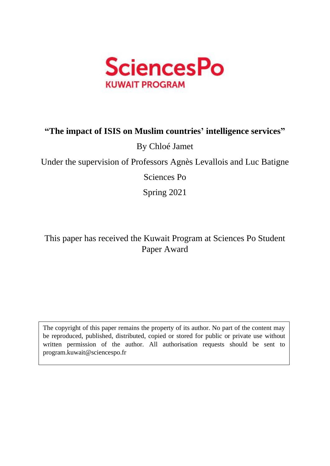

### **"The impact of ISIS on Muslim countries' intelligence services"**

### By Chloé Jamet

Under the supervision of Professors Agnès Levallois and Luc Batigne

Sciences Po

Spring 2021

This paper has received the Kuwait Program at Sciences Po Student Paper Award

The copyright of this paper remains the property of its author. No part of the content may be reproduced, published, distributed, copied or stored for public or private use without written permission of the author. All authorisation requests should be sent to program.kuwait@sciencespo.fr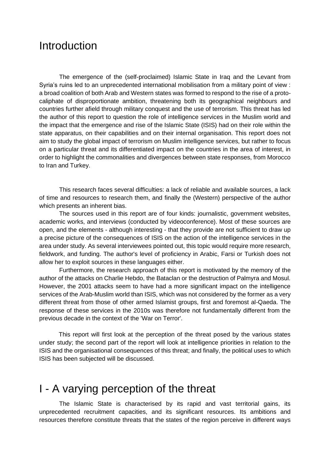## **Introduction**

The emergence of the (self-proclaimed) Islamic State in Iraq and the Levant from Syria's ruins led to an unprecedented international mobilisation from a military point of view : a broad coalition of both Arab and Western states was formed to respond to the rise of a protocaliphate of disproportionate ambition, threatening both its geographical neighbours and countries further afield through military conquest and the use of terrorism. This threat has led the author of this report to question the role of intelligence services in the Muslim world and the impact that the emergence and rise of the Islamic State (ISIS) had on their role within the state apparatus, on their capabilities and on their internal organisation. This report does not aim to study the global impact of terrorism on Muslim intelligence services, but rather to focus on a particular threat and its differentiated impact on the countries in the area of interest, in order to highlight the commonalities and divergences between state responses, from Morocco to Iran and Turkey.

This research faces several difficulties: a lack of reliable and available sources, a lack of time and resources to research them, and finally the (Western) perspective of the author which presents an inherent bias.

The sources used in this report are of four kinds: journalistic, government websites, academic works, and interviews (conducted by videoconference). Most of these sources are open, and the elements - although interesting - that they provide are not sufficient to draw up a precise picture of the consequences of ISIS on the action of the intelligence services in the area under study. As several interviewees pointed out, this topic would require more research, fieldwork, and funding. The author's level of proficiency in Arabic, Farsi or Turkish does not allow her to exploit sources in these languages either.

Furthermore, the research approach of this report is motivated by the memory of the author of the attacks on Charlie Hebdo, the Bataclan or the destruction of Palmyra and Mosul. However, the 2001 attacks seem to have had a more significant impact on the intelligence services of the Arab-Muslim world than ISIS, which was not considered by the former as a very different threat from those of other armed Islamist groups, first and foremost al-Qaeda. The response of these services in the 2010s was therefore not fundamentally different from the previous decade in the context of the 'War on Terror'.

This report will first look at the perception of the threat posed by the various states under study; the second part of the report will look at intelligence priorities in relation to the ISIS and the organisational consequences of this threat; and finally, the political uses to which ISIS has been subjected will be discussed.

## I - A varying perception of the threat

The Islamic State is characterised by its rapid and vast territorial gains, its unprecedented recruitment capacities, and its significant resources. Its ambitions and resources therefore constitute threats that the states of the region perceive in different ways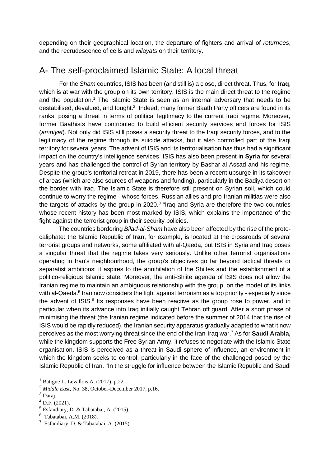depending on their geographical location, the departure of fighters and arrival of *returnees*, and the recrudescence of cells and *wilayats* on their territory.

#### A- The self-proclaimed Islamic State: A local threat

For the *Sham* countries, ISIS has been (and still is) a close, direct threat. Thus, for **Iraq**, which is at war with the group on its own territory, ISIS is the main direct threat to the regime and the population.<sup>1</sup> The Islamic State is seen as an internal adversary that needs to be destabilised, devalued, and fought.<sup>2</sup> Indeed, many former Baath Party officers are found in its ranks, posing a threat in terms of political legitimacy to the current Iraqi regime. Moreover, former Baathists have contributed to build efficient security services and forces for ISIS (*amniyat*). Not only did ISIS still poses a security threat to the Iraqi security forces, and to the legitimacy of the regime through its suicide attacks, but it also controlled part of the Iraqi territory for several years. The advent of ISIS and its territorialisation has thus had a significant impact on the country's intelligence services. ISIS has also been present in **Syria** for several years and has challenged the control of Syrian territory by Bashar al-Assad and his regime. Despite the group's territorial retreat in 2019, there has been a recent upsurge in its takeover of areas (which are also sources of weapons and funding), particularly in the Badiya desert on the border with Iraq. The Islamic State is therefore still present on Syrian soil, which could continue to worry the regime - whose forces, Russian allies and pro-Iranian militias were also the targets of attacks by the group in 2020. $3$  <sup>4</sup>Iraq and Syria are therefore the two countries whose recent history has been most marked by ISIS, which explains the importance of the fight against the terrorist group in their security policies.

The countries bordering *Bilad-al-Sham* have also been affected by the rise of the protocaliphate: the Islamic Republic of **Iran**, for example, is located at the crossroads of several terrorist groups and networks, some affiliated with al-Qaeda, but ISIS in Syria and Iraq poses a singular threat that the regime takes very seriously. Unlike other terrorist organisations operating in Iran's neighbourhood, the group's objectives go far beyond tactical threats or separatist ambitions: it aspires to the annihilation of the Shiites and the establishment of a politico-religious Islamic state. Moreover, the anti-Shiite agenda of ISIS does not allow the Iranian regime to maintain an ambiguous relationship with the group, on the model of its links with al-Qaeda.<sup>5</sup> Iran now considers the fight against terrorism as a top priority - especially since the advent of ISIS.<sup>6</sup> Its responses have been reactive as the group rose to power, and in particular when its advance into Iraq initially caught Tehran off guard. After a short phase of minimising the threat (the Iranian regime indicated before the summer of 2014 that the rise of ISIS would be rapidly reduced), the Iranian security apparatus gradually adapted to what it now perceives as the most worrying threat since the end of the Iran-Iraq war.<sup>7</sup> As for **Saudi Arabia,**  while the kingdom supports the Free Syrian Army, it refuses to negotiate with the Islamic State organisation. ISIS is perceived as a threat in Saudi sphere of influence, an environment in which the kingdom seeks to control, particularly in the face of the challenged posed by the Islamic Republic of Iran. "In the struggle for influence between the Islamic Republic and Saudi

<sup>2</sup> *Middle East*, No. 38, October-December 2017, p.16.

<sup>1</sup> Batigne L. Levallois A. (2017), p.22

<sup>3</sup> Daraj.

 $^{4}$  D.F. (2021).

<sup>5</sup> Esfandiary, D. & Tabatabai, A. (2015).

<sup>6</sup> Tabatabai, A.M. (2018).

<sup>&</sup>lt;sup>7</sup> Esfandiary, D. & Tabatabai, A. (2015).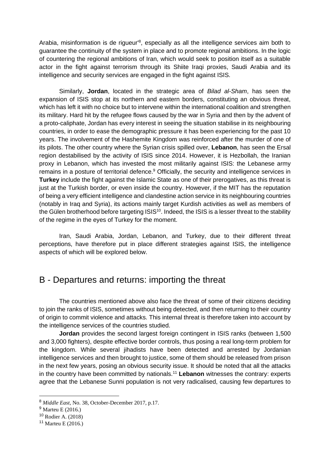Arabia, misinformation is de rigueur<sup>18</sup>, especially as all the intelligence services aim both to guarantee the continuity of the system in place and to promote regional ambitions. In the logic of countering the regional ambitions of Iran, which would seek to position itself as a suitable actor in the fight against terrorism through its Shiite Iraqi proxies, Saudi Arabia and its intelligence and security services are engaged in the fight against ISIS.

Similarly, **Jordan**, located in the strategic area of *Bilad al-Sham*, has seen the expansion of ISIS stop at its northern and eastern borders, constituting an obvious threat, which has left it with no choice but to intervene within the international coalition and strengthen its military. Hard hit by the refugee flows caused by the war in Syria and then by the advent of a proto-caliphate, Jordan has every interest in seeing the situation stabilise in its neighbouring countries, in order to ease the demographic pressure it has been experiencing for the past 10 years. The involvement of the Hashemite Kingdom was reinforced after the murder of one of its pilots. The other country where the Syrian crisis spilled over, **Lebanon**, has seen the Ersal region destabilised by the activity of ISIS since 2014. However, it is Hezbollah, the Iranian proxy in Lebanon, which has invested the most militarily against ISIS: the Lebanese army remains in a posture of territorial defence.<sup>9</sup> Officially, the security and intelligence services in **Turkey** include the fight against the Islamic State as one of their prerogatives, as this threat is just at the Turkish border, or even inside the country. However, if the MIT has the reputation of being a very efficient intelligence and clandestine action service in its neighbouring countries (notably in Iraq and Syria), its actions mainly target Kurdish activities as well as members of the Gülen brotherhood before targeting ISIS<sup>10</sup>. Indeed, the ISIS is a lesser threat to the stability of the regime in the eyes of Turkey for the moment.

Iran, Saudi Arabia, Jordan, Lebanon, and Turkey, due to their different threat perceptions, have therefore put in place different strategies against ISIS, the intelligence aspects of which will be explored below.

#### B - Departures and returns: importing the threat

The countries mentioned above also face the threat of some of their citizens deciding to join the ranks of ISIS, sometimes without being detected, and then returning to their country of origin to commit violence and attacks. This internal threat is therefore taken into account by the intelligence services of the countries studied.

**Jordan** provides the second largest foreign contingent in ISIS ranks (between 1,500 and 3,000 fighters), despite effective border controls, thus posing a real long-term problem for the kingdom. While several jihadists have been detected and arrested by Jordanian intelligence services and then brought to justice, some of them should be released from prison in the next few years, posing an obvious security issue. It should be noted that all the attacks in the country have been committed by nationals.<sup>11</sup> **Lebanon** witnesses the contrary: experts agree that the Lebanese Sunni population is not very radicalised, causing few departures to

<sup>8</sup> *Middle East*, No. 38, October-December 2017, p.17.

<sup>9</sup> Marteu E (2016.)

<sup>10</sup> Rodier A. (2018)

<sup>11</sup> Marteu E (2016.)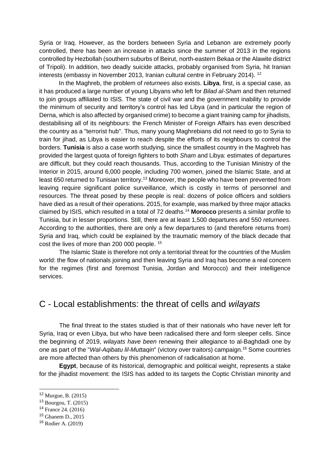Syria or Iraq. However, as the borders between Syria and Lebanon are extremely poorly controlled, there has been an increase in attacks since the summer of 2013 in the regions controlled by Hezbollah (southern suburbs of Beirut, north-eastern Bekaa or the Alawite district of Tripoli). In addition, two deadly suicide attacks, probably organised from Syria, hit Iranian interests (embassy in November 2013, Iranian cultural centre in February 2014). <sup>12</sup>

In the Maghreb, the problem of *returnees* also exists. **Libya**, first, is a special case, as it has produced a large number of young Libyans who left for *Bilad al-Sham* and then returned to join groups affiliated to ISIS. The state of civil war and the government inability to provide the minimum of security and territory's control has led Libya (and in particular the region of Derna, which is also affected by organised crime) to become a giant training camp for jihadists, destabilising all of its neighbours: the French Minister of Foreign Affairs has even described the country as a "terrorist hub". Thus, many young Maghrebians did not need to go to Syria to train for jihad, as Libya is easier to reach despite the efforts of its neighbours to control the borders. **Tunisia** is also a case worth studying, since the smallest country in the Maghreb has provided the largest quota of foreign fighters to both *Sham* and Libya: estimates of departures are difficult, but they could reach thousands. Thus, according to the Tunisian Ministry of the Interior in 2015, around 6,000 people, including 700 women, joined the Islamic State, and at least 650 returned to Tunisian territory.<sup>13</sup> Moreover, the people who have been prevented from leaving require significant police surveillance, which is costly in terms of personnel and resources. The threat posed by these people is real: dozens of police officers and soldiers have died as a result of their operations. 2015, for example, was marked by three major attacks claimed by ISIS, which resulted in a total of 72 deaths.<sup>14</sup> **Morocco** presents a similar profile to Tunisia, but in lesser proportions. Still, there are at least 1,500 departures and 550 *returnees*. According to the authorities, there are only a few departures to (and therefore returns from) Syria and Iraq, which could be explained by the traumatic memory of the black decade that cost the lives of more than 200 000 people. <sup>15</sup>

The Islamic State is therefore not only a territorial threat for the countries of the Muslim world: the flow of nationals joining and then leaving Syria and Iraq has become a real concern for the regimes (first and foremost Tunisia, Jordan and Morocco) and their intelligence services.

#### C - Local establishments: the threat of cells and *wilayats*

The final threat to the states studied is that of their nationals who have never left for Syria, Iraq or even Libya, but who have been radicalised there and form sleeper cells. Since the beginning of 2019, *wilayats have been* renewing their allegiance to al-Baghdadi one by one as part of the "*Wal-Aqibatu lil-Muttaqin*" (victory over traitors) campaign.<sup>16</sup> Some countries are more affected than others by this phenomenon of radicalisation at home.

**Egypt**, because of its historical, demographic and political weight, represents a stake for the jihadist movement: the ISIS has added to its targets the Coptic Christian minority and

<sup>12</sup> Murgue, B. (2015)

<sup>13</sup> Bourgou, T. (2015)

<sup>14</sup> France 24. (2016)

<sup>15</sup> Ghanem D., 2015

<sup>16</sup> Rodier A. (2019)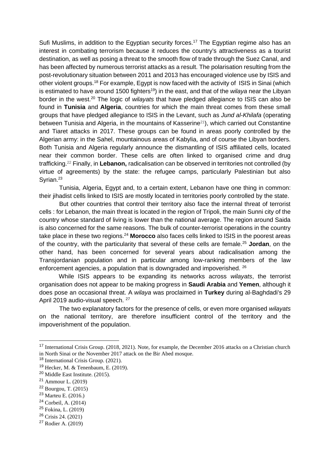Sufi Muslims, in addition to the Egyptian security forces.<sup>17</sup> The Egyptian regime also has an interest in combating terrorism because it reduces the country's attractiveness as a tourist destination, as well as posing a threat to the smooth flow of trade through the Suez Canal, and has been affected by numerous terrorist attacks as a result. The polarisation resulting from the post-revolutionary situation between 2011 and 2013 has encouraged violence use by ISIS and other violent groups.<sup>18</sup> For example, Egypt is now faced with the activity of ISIS in Sinai (which is estimated to have around 1500 fighters<sup>19</sup>) in the east, and that of the *wilaya* near the Libyan border in the west.<sup>20</sup> The logic of *wilayats* that have pledged allegiance to ISIS can also be found in **Tunisia** and **Algeria**, countries for which the main threat comes from these small groups that have pledged allegiance to ISIS in the Levant, such as *Jund al-Khilafa* (operating between Tunisia and Algeria, in the mountains of Kasserine<sup>21</sup>), which carried out Constantine and Tiaret attacks in 2017. These groups can be found in areas poorly controlled by the Algerian army: in the Sahel, mountainous areas of Kabylia, and of course the Libyan borders. Both Tunisia and Algeria regularly announce the dismantling of ISIS affiliated cells, located near their common border. These cells are often linked to organised crime and drug trafficking.<sup>22</sup> Finally, in **Lebanon,** radicalisation can be observed in territories not controlled (by virtue of agreements) by the state: the refugee camps, particularly Palestinian but also Syrian.<sup>23</sup>

Tunisia, Algeria, Egypt and, to a certain extent, Lebanon have one thing in common: their jihadist cells linked to ISIS are mostly located in territories poorly controlled by the state.

But other countries that control their territory also face the internal threat of terrorist cells : for Lebanon, the main threat is located in the region of Tripoli, the main Sunni city of the country whose standard of living is lower than the national average. The region around Saida is also concerned for the same reasons. The bulk of counter-terrorist operations in the country take place in these two regions.<sup>24</sup> **Morocco** also faces cells linked to ISIS in the poorest areas of the country, with the particularity that several of these cells are female.<sup>25</sup> **Jordan**, on the other hand, has been concerned for several years about radicalisation among the Transjordanian population and in particular among low-ranking members of the law enforcement agencies, a population that is downgraded and impoverished. <sup>26</sup>

While ISIS appears to be expanding its networks across *wilayats*, the terrorist organisation does not appear to be making progress in **Saudi Arabia** and **Yemen**, although it does pose an occasional threat. A *wilaya* was proclaimed in **Turkey** during al-Baghdadi's 29 April 2019 audio-visual speech. <sup>27</sup>

The two explanatory factors for the presence of cells, or even more organised *wilayats*  on the national territory, are therefore insufficient control of the territory and the impoverishment of the population.

<sup>23</sup> Marteu E. (2016.)

<sup>&</sup>lt;sup>17</sup> International Crisis Group. (2018, 2021). Note, for example, the December 2016 attacks on a Christian church in North Sinai or the November 2017 attack on the Bir Abed mosque.

<sup>18</sup> International Crisis Group. (2021).

<sup>19</sup> Hecker, M. & Tenenbaum, E. (2019).

<sup>20</sup> Middle East Institute. (2015).

<sup>21</sup> Ammour L. (2019)

<sup>22</sup> Bourgou, T. (2015)

<sup>24</sup> Corbeil, A. (2014)

<sup>25</sup> Fokina, L. (2019)

<sup>26</sup> Crisis 24. (2021)

<sup>27</sup> Rodier A. (2019)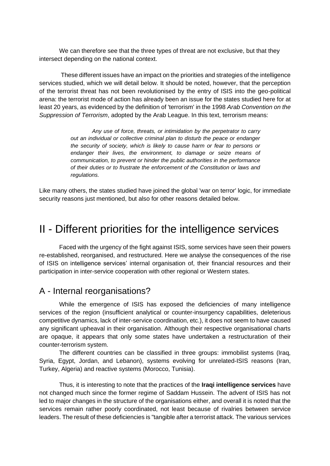We can therefore see that the three types of threat are not exclusive, but that they intersect depending on the national context.

These different issues have an impact on the priorities and strategies of the intelligence services studied, which we will detail below. It should be noted, however, that the perception of the terrorist threat has not been revolutionised by the entry of ISIS into the geo-political arena: the terrorist mode of action has already been an issue for the states studied here for at least 20 years, as evidenced by the definition of 'terrorism' in the 1998 *Arab Convention on the Suppression of Terrorism*, adopted by the Arab League. In this text, terrorism means:

> *Any use of force, threats, or intimidation by the perpetrator to carry out an individual or collective criminal plan to disturb the peace or endanger the security of society, which is likely to cause harm or fear to persons or endanger their lives, the environment, to damage or seize means of communication, to prevent or hinder the public authorities in the performance of their duties or to frustrate the enforcement of the Constitution or laws and regulations.*

Like many others, the states studied have joined the global 'war on terror' logic, for immediate security reasons just mentioned, but also for other reasons detailed below.

## II - Different priorities for the intelligence services

Faced with the urgency of the fight against ISIS, some services have seen their powers re-established, reorganised, and restructured. Here we analyse the consequences of the rise of ISIS on intelligence services' internal organisation of, their financial resources and their participation in inter-service cooperation with other regional or Western states.

#### A - Internal reorganisations?

While the emergence of ISIS has exposed the deficiencies of many intelligence services of the region (insufficient analytical or counter-insurgency capabilities, deleterious competitive dynamics, lack of inter-service coordination, etc.), it does not seem to have caused any significant upheaval in their organisation. Although their respective organisational charts are opaque, it appears that only some states have undertaken a restructuration of their counter-terrorism system.

The different countries can be classified in three groups: immobilist systems (Iraq, Syria, Egypt, Jordan, and Lebanon), systems evolving for unrelated-ISIS reasons (Iran, Turkey, Algeria) and reactive systems (Morocco, Tunisia).

Thus, it is interesting to note that the practices of the **Iraqi intelligence services** have not changed much since the former regime of Saddam Hussein. The advent of ISIS has not led to major changes in the structure of the organisations either, and overall it is noted that the services remain rather poorly coordinated, not least because of rivalries between service leaders. The result of these deficiencies is "tangible after a terrorist attack. The various services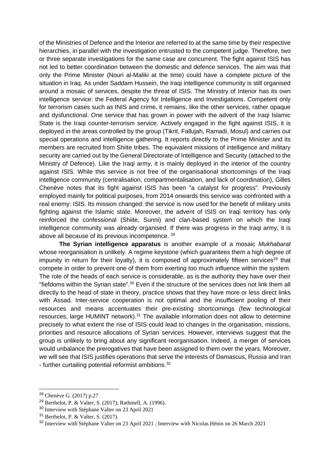of the Ministries of Defence and the Interior are referred to at the same time by their respective hierarchies, in parallel with the investigation entrusted to the competent judge. Therefore, two or three separate investigations for the same case are concurrent. The fight against ISIS has not led to better coordination between the domestic and defence services. The aim was that only the Prime Minister (Nouri al-Maliki at the time) could have a complete picture of the situation in Iraq. As under Saddam Hussein, the Iraqi intelligence community is still organised around a mosaic of services, despite the threat of ISIS. The Ministry of Interior has its own intelligence service: the Federal Agency for Intelligence and Investigations. Competent only for terrorism cases such as INIS and crime, it remains, like the other services, rather opaque and dysfunctional. One service that has grown in power with the advent of the Iraqi Islamic State is the Iraqi counter-terrorism service. Actively engaged in the fight against ISIS, it is deployed in the areas controlled by the group (Tikrit, Fallujah, Ramadi, Mosul) and carries out special operations and intelligence gathering. It reports directly to the Prime Minister and its members are recruited from Shiite tribes. The equivalent missions of intelligence and military security are carried out by the General Directorate of Intelligence and Security (attached to the Ministry of Defence). Like the Iraqi army, it is mainly deployed in the interior of the country against ISIS. While this service is not free of the organisational shortcomings of the Iraqi intelligence community (centralisation, compartmentalisation, and lack of coordination), Gilles Chenève notes that its fight against ISIS has been "a catalyst for progress". Previously employed mainly for political purposes, from 2014 onwards this service was confronted with a real enemy: ISIS. Its mission changed: the service is now used for the benefit of military units fighting against the Islamic state. Moreover, the advent of ISIS on Iraqi territory has only reinforced the confessional (Shiite, Sunni) and clan-based system on which the Iraqi intelligence community was already organised. If there was progress in the Iraqi army, it is above all because of its previous incompetence. <sup>28</sup>

**The Syrian intelligence apparatus** is another example of a mosaic *Mukhabarat*  whose reorganisation is unlikely. A regime keystone (which guarantees them a high degree of impunity in return for their loyalty), it is composed of approximately fifteen services<sup>29</sup> that compete in order to prevent one of them from exerting too much influence within the system. The role of the heads of each service is considerable, as is the authority they have over their "fiefdoms within the Syrian state".<sup>30</sup> Even if the structure of the services does not link them all directly to the head of state in theory, practice shows that they have more or less direct links with Assad. Inter-service cooperation is not optimal and the insufficient pooling of their resources and means accentuates their pre-existing shortcomings (few technological resources, large HUMINT network).<sup>31</sup> The available information does not allow to determine precisely to what extent the rise of ISIS could lead to changes in the organisation, missions, priorities and resource allocations of Syrian services. However, interviews suggest that the group is unlikely to bring about any significant reorganisation. Indeed, a merger of services would unbalance the prerogatives that have been assigned to them over the years. Moreover, we will see that ISIS justifies operations that serve the interests of Damascus, Russia and Iran - further curtailing potential reformist ambitions.<sup>32</sup>

<sup>28</sup> Chenève G. (2017) p.27

<sup>29</sup> Berthelot, P. & Valter, S. (2017); Rathmell, A. (1996).

<sup>30</sup> Interview with Stéphane Valter on 23 April 2021

<sup>31</sup> Berthelot, P. & Valter, S. (2017).

<sup>32</sup> Interview with Stéphane Valter on 23 April 2021 ; Interview with Nicolas Hénin on 26 March 2021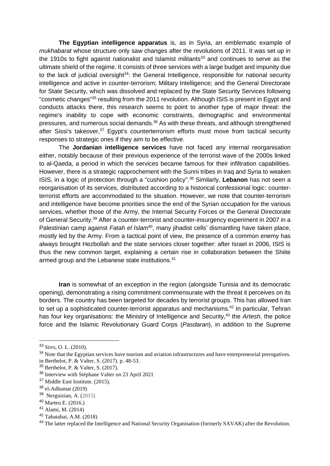**The Egyptian intelligence apparatus** is, as in Syria, an emblematic example of *mukhabarat* whose structure only saw changes after the revolutions of 2011. It was set up in the 1910s to fight against nationalist and Islamist militants<sup>33</sup> and continues to serve as the ultimate shield of the regime. It consists of three services with a large budget and impunity due to the lack of judicial oversight $34$ : the General Intelligence, responsible for national security intelligence and active in counter-terrorism; Military Intelligence; and the General Directorate for State Security, which was dissolved and replaced by the State Security Services following "cosmetic changes"<sup>35</sup> resulting from the 2011 revolution. Although ISIS is present in Egypt and conducts attacks there, this research seems to point to another type of major threat: the regime's inability to cope with economic constraints, demographic and environmental pressures, and numerous social demands.<sup>36</sup> As with these threats, and although strengthened after Sissi's takeover,<sup>37</sup> Egypt's counterterrorism efforts must move from tactical security responses to strategic ones if they aim to be effective.

The **Jordanian intelligence services** have not faced any internal reorganisation either, notably because of their previous experience of the terrorist wave of the 2000s linked to al-Qaeda, a period in which the services became famous for their infiltration capabilities. However, there is a strategic rapprochement with the Sunni tribes in Iraq and Syria to weaken ISIS, in a logic of protection through a "cushion policy".<sup>38</sup> Similarly, **Lebanon** has not seen a reorganisation of its services, distributed according to a historical confessional logic: counterterrorist efforts are accommodated to the situation. However, we note that counter-terrorism and intelligence have become priorities since the end of the Syrian occupation for the various services, whether those of the Army, the Internal Security Forces or the General Directorate of General Security.<sup>39</sup> After a counter-terrorist and counter-insurgency experiment in 2007 in a Palestinian camp against *Fatah el Islam<sup>40</sup>*, many jihadist cells' dismantling have taken place, mostly led by the Army. From a tactical point of view, the presence of a common enemy has always brought Hezbollah and the state services closer together: after Israel in 2006, ISIS is thus the new common target, explaining a certain rise in collaboration between the Shiite armed group and the Lebanese state institutions.<sup>41</sup>

**Iran** is somewhat of an exception in the region (alongside Tunisia and its democratic opening), demonstrating a rising commitment commensurate with the threat it perceives on its borders. The country has been targeted for decades by terrorist groups. This has allowed Iran to set up a sophisticated counter-terrorist apparatus and mechanisms.<sup>42</sup> In particular, Tehran has four key organisations: the Ministry of Intelligence and Security,<sup>43</sup> the *Artesh*, the police force and the Islamic Revolutionary Guard Corps (*Pasdaran*), in addition to the Supreme

<sup>33</sup> Sirrs, O. L. (2010).

<sup>&</sup>lt;sup>34</sup> Note that the Egyptian services have tourism and aviation infrastructures and have entrepreneurial prerogatives.

in Berthelot, P. & Valter, S. (2017). p. 48-53.

<sup>35</sup> Berthelot, P. & Valter, S. (2017).

<sup>36</sup> Interview with Stéphane Valter on 23 April 2021

<sup>37</sup> Middle East Institute. (2015).

<sup>38</sup> el-Adhamat (2019)

<sup>&</sup>lt;sup>39</sup> Nerguizian, A. (2015)

<sup>40</sup> Marteu E. (2016.)

<sup>41</sup> Alami, M. (2014)

<sup>42</sup> Tabatabai, A.M. (2018)

<sup>&</sup>lt;sup>43</sup> The latter replaced the Intelligence and National Security Organisation (formerly SAVAK) after the Revolution.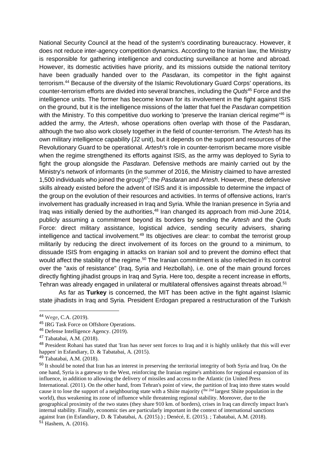National Security Council at the head of the system's coordinating bureaucracy. However, it does not reduce inter-agency competition dynamics. According to the Iranian law, the Ministry is responsible for gathering intelligence and conducting surveillance at home and abroad. However, its domestic activities have priority, and its missions outside the national territory have been gradually handed over to the *Pasdaran*, its competitor in the fight against terrorism.<sup>44</sup> Because of the diversity of the Islamic Revolutionary Guard Corps' operations, its counter-terrorism efforts are divided into several branches, including the *Quds*<sup>45</sup> Force and the intelligence units. The former has become known for its involvement in the fight against ISIS on the ground, but it is the intelligence missions of the latter that fuel the *Pasdaran* competition with the Ministry. To this competitive duo working to 'preserve the Iranian clerical regime<sup>'46</sup> is added the army, the *Artesh*, whose operations often overlap with those of the Pasdaran, although the two also work closely together in the field of counter-terrorism. The *Artesh* has its own military intelligence capability (J2 unit), but it depends on the support and resources of the Revolutionary Guard to be operational. *Artesh'*s role in counter-terrorism became more visible when the regime strengthened its efforts against ISIS, as the army was deployed to Syria to fight the group alongside the *Pasdaran*. Defensive methods are mainly carried out by the Ministry's network of informants (in the summer of 2016, the Ministry claimed to have arrested 1,500 individuals who joined the group)<sup>47</sup>; the *Pasdaran* and *Artesh*. However, these defensive skills already existed before the advent of ISIS and it is impossible to determine the impact of the group on the evolution of their resources and activities. In terms of offensive actions, Iran's involvement has gradually increased in Iraq and Syria. While the Iranian presence in Syria and Iraq was initially denied by the authorities,<sup>48</sup> Iran changed its approach from mid-June 2014, publicly assuming a commitment beyond its borders by sending the *Artesh* and the *Quds*  Force: direct military assistance, logistical advice, sending security advisers, sharing intelligence and tactical involvement.<sup>49</sup> Its objectives are clear: to combat the terrorist group militarily by reducing the direct involvement of its forces on the ground to a minimum, to dissuade ISIS from engaging in attacks on Iranian soil and to prevent the domino effect that would affect the stability of the regime.<sup>50</sup> The Iranian commitment is also reflected in its control over the "axis of resistance" (Iraq, Syria and Hezbollah), i.e. one of the main ground forces directly fighting jihadist groups in Iraq and Syria. Here too, despite a recent increase in efforts, Tehran was already engaged in unilateral or multilateral offensives against threats abroad.<sup>51</sup>

As far as **Turkey** is concerned, the MIT has been active in the fight against Islamic state jihadists in Iraq and Syria. President Erdogan prepared a restructuration of the Turkish

<sup>44</sup> Wege, C.A. (2019).

<sup>45</sup> IRG Task Force on Offshore Operations.

<sup>46</sup> Defense Intelligence Agency. (2019).

<sup>47</sup> Tabatabai, A.M. (2018).

<sup>&</sup>lt;sup>48</sup> President Rohani has stated that 'Iran has never sent forces to Iraq and it is highly unlikely that this will ever happen' in Esfandiary, D. & Tabatabai, A. (2015).

<sup>49</sup> Tabatabai, A.M. (2018).

<sup>&</sup>lt;sup>50</sup> It should be noted that Iran has an interest in preserving the territorial integrity of both Syria and Iraq. On the one hand, Syria is a gateway to the West, reinforcing the Iranian regime's ambitions for regional expansion of its influence, in addition to allowing the delivery of missiles and access to the Atlantic (in United Press International. (2011). On the other hand, from Tehran's point of view, the partition of Iraq into three states would cause it to lose the support of a neighbouring state with a Shiite majority (the 2nd largest Shiite population in the world), thus weakening its zone of influence while threatening regional stability. Moreover, due to the geographical proximity of the two states (they share 910 km. of borders), crises in Iraq can directly impact Iran's internal stability. Finally, economic ties are particularly important in the context of international sanctions against Iran (in Esfandiary, D. & Tabatabai, A. (2015).) ; Denécé, E. (2015). ; Tabatabai, A.M. (2018).  $5^{1}$  Hashem, A. (2016).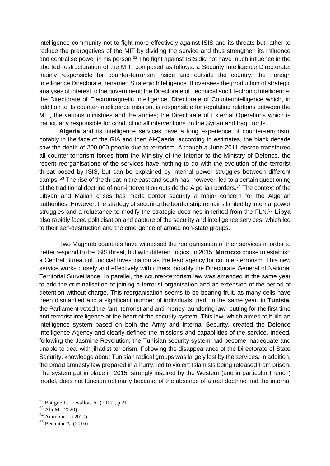intelligence community not to fight more effectively against ISIS and its threats but rather to reduce the prerogatives of the MIT by dividing the service and thus strengthen its influence and centralise power in his person.<sup>52</sup> The fight against ISIS did not have much influence in the aborted restructuration of the MIT, composed as follows: a Security Intelligence Directorate, mainly responsible for counter-terrorism inside and outside the country; the Foreign Intelligence Directorate, renamed Strategic Intelligence. It oversees the production of strategic analyses of interest to the government; the Directorate of Technical and Electronic Intelligence; the Directorate of Electromagnetic Intelligence; Directorate of Counterintelligence which, in addition to its counter-intelligence mission, is responsible for regulating relations between the MIT, the various ministries and the armies; the Directorate of External Operations which is particularly responsible for conducting all interventions on the Syrian and Iraqi fronts.

**Algeria** and its intelligence services have a long experience of counter-terrorism, notably in the face of the GIA and then Al-Qaeda: according to estimates, the black decade saw the death of 200,000 people due to terrorism. Although a June 2011 decree transferred all counter-terrorism forces from the Ministry of the Interior to the Ministry of Defence, the recent reorganisations of the services have nothing to do with the evolution of the terrorist threat posed by ISIS, but can be explained by internal power struggles between different camps. <sup>53</sup> The rise of the threat in the east and south has, however, led to a certain questioning of the traditional doctrine of non-intervention outside the Algerian borders.<sup>54</sup> The context of the Libyan and Malian crises has made border security a major concern for the Algerian authorities. However, the strategy of securing the border strip remains limited by internal power struggles and a reluctance to modify the strategic doctrines inherited from the FLN.<sup>55</sup> **Libya**  also rapidly faced politicisation and capture of the security and intelligence services, which led to their self-destruction and the emergence of armed non-state groups.

Two Maghreb countries have witnessed the reorganisation of their services in order to better respond to the ISIS threat, but with different logics. In 2015, **Morocco** chose to establish a Central Bureau of Judicial Investigation as the lead agency for counter-terrorism. This new service works closely and effectively with others, notably the Directorate General of National Territorial Surveillance. In parallel, the counter-terrorism law was amended in the same year to add the criminalisation of joining a terrorist organisation and an extension of the period of detention without charge. This reorganisation seems to be bearing fruit, as many cells have been dismantled and a significant number of individuals tried. In the same year, in **Tunisia,**  the Parliament voted the "anti-terrorist and anti-money laundering law" putting for the first time anti-terrorist intelligence at the heart of the security system. This law, which aimed to build an intelligence system based on both the Army and Internal Security, created the Defence Intelligence Agency and clearly defined the missions and capabilities of the service. Indeed, following the Jasmine Revolution, the Tunisian security system had become inadequate and unable to deal with jihadist terrorism. Following the disappearance of the Directorate of State Security, knowledge about Tunisian radical groups was largely lost by the services. In addition, the broad amnesty law prepared in a hurry, led to violent Islamists being released from prison. The system put in place in 2015, strongly inspired by the Western (and in particular French) model, does not function optimally because of the absence of a real doctrine and the internal

<sup>52</sup> Batigne L., Levallois A. (2017), p.21.

<sup>53</sup> Abi M. (2020)

<sup>54</sup> Ammour L. (2019)

<sup>55</sup> Benantar A. (2016)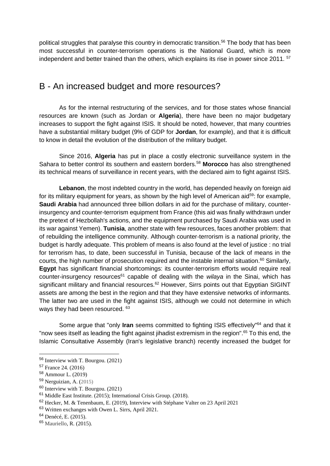political struggles that paralyse this country in democratic transition.<sup>56</sup> The body that has been most successful in counter-terrorism operations is the National Guard, which is more independent and better trained than the others, which explains its rise in power since 2011. <sup>57</sup>

#### B - An increased budget and more resources?

As for the internal restructuring of the services, and for those states whose financial resources are known (such as Jordan or **Algeria**), there have been no major budgetary increases to support the fight against ISIS. It should be noted, however, that many countries have a substantial military budget (9% of GDP for **Jordan**, for example), and that it is difficult to know in detail the evolution of the distribution of the military budget.

Since 2016, **Algeria** has put in place a costly electronic surveillance system in the Sahara to better control its southern and eastern borders.<sup>58</sup> **Morocco** has also strengthened its technical means of surveillance in recent years, with the declared aim to fight against ISIS.

**Lebanon**, the most indebted country in the world, has depended heavily on foreign aid for its military equipment for years, as shown by the high level of American aid<sup>59</sup>: for example, **Saudi Arabia** had announced three billion dollars in aid for the purchase of military, counterinsurgency and counter-terrorism equipment from France (this aid was finally withdrawn under the pretext of Hezbollah's actions, and the equipment purchased by Saudi Arabia was used in its war against Yemen). **Tunisia**, another state with few resources, faces another problem: that of rebuilding the intelligence community. Although counter-terrorism is a national priority, the budget is hardly adequate. This problem of means is also found at the level of justice : no trial for terrorism has, to date, been successful in Tunisia, because of the lack of means in the courts, the high number of prosecution required and the instable internal situation. <sup>60</sup> Similarly, **Egypt** has significant financial shortcomings: its counter-terrorism efforts would require real counter-insurgency resources<sup>61</sup> capable of dealing with the *wilaya* in the Sinai, which has significant military and financial resources.<sup>62</sup> However, Sirrs points out that Egyptian SIGINT assets are among the best in the region and that they have extensive networks of informants. The latter two are used in the fight against ISIS, although we could not determine in which ways they had been resourced.  $63$ 

Some argue that "only **Iran** seems committed to fighting ISIS effectively"<sup>64</sup> and that it "now sees itself as leading the fight against jihadist extremism in the region".<sup>65</sup> To this end, the Islamic Consultative Assembly (Iran's legislative branch) recently increased the budget for

<sup>56</sup> Interview with T. Bourgou. (2021)

<sup>57</sup> France 24. (2016)

<sup>58</sup> Ammour L. (2019)

<sup>59</sup> Nerguizian, A. (2015)

<sup>60</sup> Interview with T. Bourgou. (2021)

<sup>61</sup> Middle East Institute. (2015); International Crisis Group. (2018).

<sup>62</sup> Hecker, M. & Tenenbaum, E. (2019), Interview with Stéphane Valter on 23 April 2021

<sup>63</sup> Written exchanges with Owen L. Sirrs, April 2021.

<sup>64</sup> Denécé, E. (2015).

<sup>65</sup> Mauriello, R. (2015).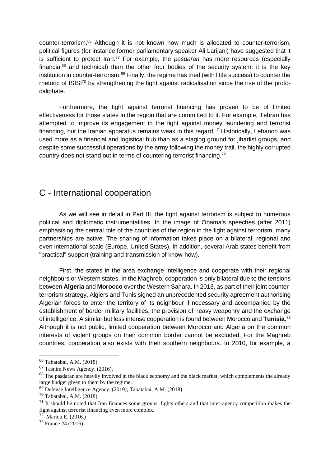counter-terrorism.<sup>66</sup> Although it is not known how much is allocated to counter-terrorism, political figures (for instance former parliamentary speaker Ali Larijani) have suggested that it is sufficient to protect Iran.<sup>67</sup> For example, the *pasdaran* has more resources (especially financial<sup>68</sup> and technical) than the other four bodies of the security system: it is the key institution in counter-terrorism.<sup>69</sup> Finally, the regime has tried (with little success) to counter the rhetoric of ISISI<sup>70</sup> by strengthening the fight against radicalisation since the rise of the protocaliphate.

Furthermore, the fight against terrorist financing has proven to be of limited effectiveness for those states in the region that are committed to it. For example, Tehran has attempted to improve its engagement in the fight against money laundering and terrorist financing, but the Iranian apparatus remains weak in this regard. <sup>71</sup> Historically, Lebanon was used more as a financial and logistical hub than as a staging ground for jihadist groups, and despite some successful operations by the army following the money trail, the highly corrupted country does not stand out in terms of countering terrorist financing.<sup>72</sup>

#### C - International cooperation

As we will see in detail in Part III, the fight against terrorism is subject to numerous political and diplomatic instrumentalities. In the image of Obama's speeches (after 2011) emphasising the central role of the countries of the region in the fight against terrorism, many partnerships are active. The sharing of information takes place on a bilateral, regional and even international scale (Europe, United States). In addition, several Arab states benefit from "practical" support (training and transmission of know-how).

First, the states in the area exchange intelligence and cooperate with their regional neighbours or Western states. In the Maghreb, cooperation is only bilateral due to the tensions between **Algeria** and **Morocco** over the Western Sahara. In 2013, as part of their joint counterterrorism strategy, Algiers and Tunis signed an unprecedented security agreement authorising Algerian forces to enter the territory of its neighbour if necessary and accompanied by the establishment of border military facilities, the provision of heavy weaponry and the exchange of intelligence. A similar but less intense cooperation is found between Morocco and **Tunisia**. 73 Although it is not public, limited cooperation between Morocco and Algeria on the common interests of violent groups on their common border cannot be excluded. For the Maghreb countries, cooperation also exists with their southern neighbours. In 2010, for example, a

<sup>66</sup> Tabatabai, A.M. (2018).

<sup>67</sup> Tasnim News Agency. (2016).

<sup>&</sup>lt;sup>68</sup> The pasdaran are heavily involved in the black economy and the black market, which complements the already large budget given to them by the regime.

<sup>69</sup> Defense Intelligence Agency. (2019); Tabatabai, A.M. (2018).

<sup>70</sup> Tabatabai, A.M. (2018).

 $71$  It should be noted that Iran finances some groups, fights others and that inter-agency competition makes the fight against terrorist financing even more complex.

<sup>72</sup> Marteu E. (2016.)

<sup>73</sup> France 24 (2016)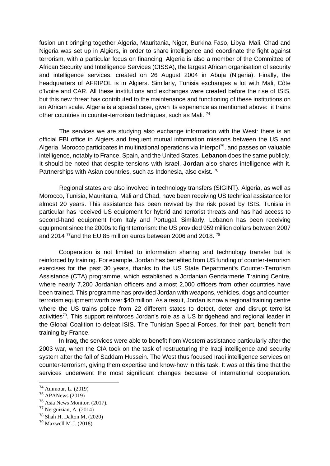fusion unit bringing together Algeria, Mauritania, Niger, Burkina Faso, Libya, Mali, Chad and Nigeria was set up in Algiers, in order to share intelligence and coordinate the fight against terrorism, with a particular focus on financing. Algeria is also a member of the Committee of African Security and Intelligence Services (CISSA), the largest African organisation of security and intelligence services, created on 26 August 2004 in Abuja (Nigeria). Finally, the headquarters of AFRIPOL is in Algiers. Similarly, Tunisia exchanges a lot with Mali, Côte d'Ivoire and CAR. All these institutions and exchanges were created before the rise of ISIS, but this new threat has contributed to the maintenance and functioning of these institutions on an African scale. Algeria is a special case, given its experience as mentioned above: it trains other countries in counter-terrorism techniques, such as Mali. <sup>74</sup>

The services we are studying also exchange information with the West: there is an official FBI office in Algiers and frequent mutual information missions between the US and Algeria. Morocco participates in multinational operations via Interpol<sup>75</sup>, and passes on valuable intelligence, notably to France, Spain, and the United States. **Lebanon** does the same publicly. It should be noted that despite tensions with Israel, **Jordan** also shares intelligence with it. Partnerships with Asian countries, such as Indonesia, also exist.<sup>76</sup>

Regional states are also involved in technology transfers (SIGINT). Algeria, as well as Morocco, Tunisia, Mauritania, Mali and Chad, have been receiving US technical assistance for almost 20 years. This assistance has been revived by the risk posed by ISIS. Tunisia in particular has received US equipment for hybrid and terrorist threats and has had access to second-hand equipment from Italy and Portugal. Similarly, Lebanon has been receiving equipment since the 2000s to fight terrorism: the US provided 959 million dollars between 2007 and 2014<sup>77</sup> and the EU 85 million euros between 2006 and 2018.<sup>78</sup>

Cooperation is not limited to information sharing and technology transfer but is reinforced by training. For example, Jordan has benefited from US funding of counter-terrorism exercises for the past 30 years, thanks to the US State Department's Counter-Terrorism Assistance (CTA) programme, which established a Jordanian Gendarmerie Training Centre, where nearly 7,200 Jordanian officers and almost 2,000 officers from other countries have been trained. This programme has provided Jordan with weapons, vehicles, dogs and counterterrorism equipment worth over \$40 million. As a result, Jordan is now a regional training centre where the US trains police from 22 different states to detect, deter and disrupt terrorist activities<sup>79</sup>. This support reinforces Jordan's role as a US bridgehead and regional leader in the Global Coalition to defeat ISIS. The Tunisian Special Forces, for their part, benefit from training by France.

In **Iraq,** the services were able to benefit from Western assistance particularly after the 2003 war, when the CIA took on the task of restructuring the Iraqi intelligence and security system after the fall of Saddam Hussein. The West thus focused Iraqi intelligence services on counter-terrorism, giving them expertise and know-how in this task. It was at this time that the services underwent the most significant changes because of international cooperation.

<sup>74</sup> Ammour, L. (2019)

<sup>75</sup> APANews (2019)

<sup>76</sup> Asia News Monitor. (2017).

<sup>77</sup> Nerguizian, A. (2014)

<sup>78</sup> Shah H, Dalton M, (2020)

<sup>79</sup> Maxwell M-J. (2018).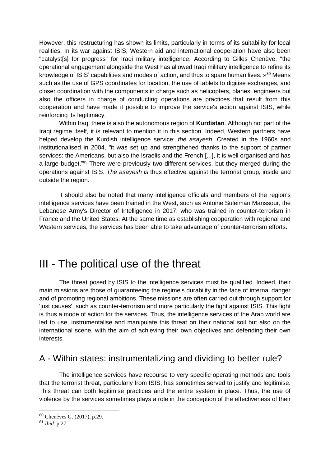However, this restructuring has shown its limits, particularly in terms of its suitability for local realities. In its war against ISIS, Western aid and international cooperation have also been "catalyst[s] for progress" for Iraqi military intelligence. According to Gilles Chenève, "the operational engagement alongside the West has allowed Iraqi military intelligence to refine its knowledge of ISIS' capabilities and modes of action, and thus to spare human lives.  $^{80}$  Means such as the use of GPS coordinates for location, the use of tablets to digitise exchanges, and closer coordination with the components in charge such as helicopters, planes, engineers but also the officers in charge of conducting operations are practices that result from this cooperation and have made it possible to improve the service's action against ISIS, while reinforcing its legitimacy.

Within Iraq, there is also the autonomous region of **Kurdistan**. Although not part of the Iraqi regime itself, it is relevant to mention it in this section. Indeed, Western partners have helped develop the Kurdish intelligence service: *the asayesh*. Created in the 1960s and institutionalised in 2004, "it was set up and strengthened thanks to the support of partner services: the Americans, but also the Israelis and the French [...], it is well organised and has a large budget."<sup>81</sup> There were previously two different services, but they merged during the operations against ISIS. *The asayesh is* thus effective against the terrorist group, inside and outside the region.

It should also be noted that many intelligence officials and members of the region's intelligence services have been trained in the West, such as Antoine Suleiman Manssour, the Lebanese Army's Director of Intelligence in 2017, who was trained in counter-terrorism in France and the United States. At the same time as establishing cooperation with regional and Western services, the services has been able to take advantage of counter-terrorism efforts.

## III - The political use of the threat

The threat posed by ISIS to the intelligence services must be qualified. Indeed, their main missions are those of guaranteeing the regime's durability in the face of internal danger and of promoting regional ambitions. These missions are often carried out through support for 'just causes', such as counter-terrorism and more particularly the fight against ISIS. This fight is thus a mode of action for the services. Thus, the intelligence services of the Arab world are led to use, instrumentalise and manipulate this threat on their national soil but also on the international scene, with the aim of achieving their own objectives and defending their own interests.

### A - Within states: instrumentalizing and dividing to better rule?

The intelligence services have recourse to very specific operating methods and tools that the terrorist threat, particularly from ISIS, has sometimes served to justify and legitimise. This threat can both legitimise practices and the entire system in place. Thus, the use of violence by the services sometimes plays a role in the conception of the effectiveness of their

<sup>80</sup> Chenèves G. (2017), p.29.

<sup>81</sup> *Ibid*. p.27.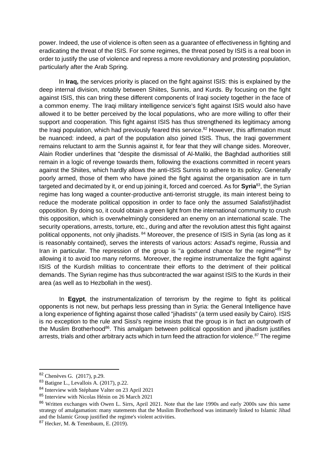power. Indeed, the use of violence is often seen as a guarantee of effectiveness in fighting and eradicating the threat of the ISIS. For some regimes, the threat posed by ISIS is a real boon in order to justify the use of violence and repress a more revolutionary and protesting population, particularly after the Arab Spring.

In **Iraq,** the services priority is placed on the fight against ISIS: this is explained by the deep internal division, notably between Shiites, Sunnis, and Kurds. By focusing on the fight against ISIS, this can bring these different components of Iraqi society together in the face of a common enemy. The Iraqi military intelligence service's fight against ISIS would also have allowed it to be better perceived by the local populations, who are more willing to offer their support and cooperation. This fight against ISIS has thus strengthened its legitimacy among the Iraqi population, which had previously feared this service.<sup>82</sup> However, this affirmation must be nuanced: indeed, a part of the population also joined ISIS. Thus, the Iraqi government remains reluctant to arm the Sunnis against it, for fear that they will change sides. Moreover, Alain Rodier underlines that "despite the dismissal of Al-Maliki, the Baghdad authorities still remain in a logic of revenge towards them, following the exactions committed in recent years against the Shiites, which hardly allows the anti-ISIS Sunnis to adhere to its policy. Generally poorly armed, those of them who have joined the fight against the organisation are in turn targeted and decimated by it, or end up joining it, forced and coerced. As for **Syria**<sup>83</sup>, the Syrian regime has long waged a counter-productive anti-terrorist struggle, its main interest being to reduce the moderate political opposition in order to face only the assumed Salafist/jihadist opposition. By doing so, it could obtain a green light from the international community to crush this opposition, which is overwhelmingly considered an enemy on an international scale. The security operations, arrests, torture, etc., during and after the revolution attest this fight against political opponents, not only jihadists. <sup>84</sup> Moreover, the presence of ISIS in Syria (as long as it is reasonably contained), serves the interests of various actors: Assad's regime, Russia and Iran in particular. The repression of the group is "a godsend chance for the regime"<sup>85</sup> by allowing it to avoid too many reforms. Moreover, the regime instrumentalize the fight against ISIS of the Kurdish militias to concentrate their efforts to the detriment of their political demands. The Syrian regime has thus subcontracted the war against ISIS to the Kurds in their area (as well as to Hezbollah in the west).

In **Egypt**, the instrumentalization of terrorism by the regime to fight its political opponents is not new, but perhaps less pressing than in Syria: the General Intelligence have a long experience of fighting against those called "jihadists" (a term used easily by Cairo). ISIS is no exception to the rule and Sissi's regime insists that the group is in fact an outgrowth of the Muslim Brotherhood<sup>86</sup>. This amalgam between political opposition and jihadism justifies arrests, trials and other arbitrary acts which in turn feed the attraction for violence.<sup>87</sup> The regime

<sup>82</sup> Chenèves G. (2017)*,* p.29.

<sup>83</sup> Batigne L., Levallois A. (2017), p.22.

<sup>84</sup> Interview with Stéphane Valter on 23 April 2021

<sup>85</sup> Interview with Nicolas Hénin on 26 March 2021

<sup>&</sup>lt;sup>86</sup> Written exchanges with Owen L. Sirrs, April 2021. Note that the late 1990s and early 2000s saw this same strategy of amalgamation: many statements that the Muslim Brotherhood was intimately linked to Islamic Jihad and the Islamic Group justified the regime's violent activities.

<sup>87</sup> Hecker, M. & Tenenbaum, E. (2019).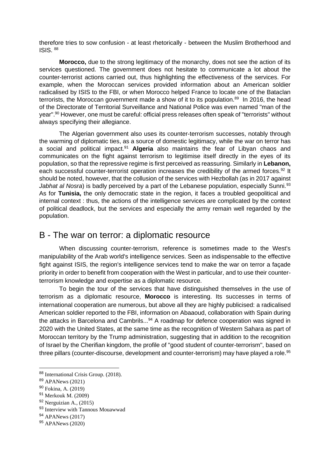therefore tries to sow confusion - at least rhetorically - between the Muslim Brotherhood and ISIS.  $88$ 

**Morocco,** due to the strong legitimacy of the monarchy, does not see the action of its services questioned. The government does not hesitate to communicate a lot about the counter-terrorist actions carried out, thus highlighting the effectiveness of the services. For example, when the Moroccan services provided information about an American soldier radicalised by ISIS to the FBI, or when Morocco helped France to locate one of the Bataclan terrorists, the Moroccan government made a show of it to its population.<sup>89</sup> In 2016, the head of the Directorate of Territorial Surveillance and National Police was even named "man of the year".<sup>90</sup> However, one must be careful: official press releases often speak of "terrorists" without always specifying their allegiance.

The Algerian government also uses its counter-terrorism successes, notably through the warming of diplomatic ties, as a source of domestic legitimacy, while the war on terror has a social and political impact.<sup>91</sup> **Algeria** also maintains the fear of Libyan chaos and communicates on the fight against terrorism to legitimise itself directly in the eyes of its population, so that the repressive regime is first perceived as reassuring. Similarly in **Lebanon,**  each successful counter-terrorist operation increases the credibility of the armed forces.<sup>92</sup> It should be noted, however, that the collusion of the services with Hezbollah (as in 2017 against *Jabhat al Nosra*) is badly perceived by a part of the Lebanese population, especially Sunni.<sup>93</sup> As for **Tunisia,** the only democratic state in the region, it faces a troubled geopolitical and internal context : thus, the actions of the intelligence services are complicated by the context of political deadlock, but the services and especially the army remain well regarded by the population.

### B - The war on terror: a diplomatic resource

When discussing counter-terrorism, reference is sometimes made to the West's manipulability of the Arab world's intelligence services. Seen as indispensable to the effective fight against ISIS, the region's intelligence services tend to make the war on terror a façade priority in order to benefit from cooperation with the West in particular, and to use their counterterrorism knowledge and expertise as a diplomatic resource.

To begin the tour of the services that have distinguished themselves in the use of terrorism as a diplomatic resource, **Morocco** is interesting. Its successes in terms of international cooperation are numerous, but above all they are highly publicised: a radicalised American soldier reported to the FBI, information on Abaaoud, collaboration with Spain during the attacks in Barcelona and Cambrils...<sup>94</sup> A roadmap for defence cooperation was signed in 2020 with the United States, at the same time as the recognition of Western Sahara as part of Moroccan territory by the Trump administration, suggesting that in addition to the recognition of Israel by the Cherifian kingdom, the profile of "good student of counter-terrorism", based on three pillars (counter-discourse, development and counter-terrorism) may have played a role.<sup>95</sup>

<sup>88</sup> International Crisis Group. (2018).

<sup>89</sup> APANews (2021)

<sup>90</sup> Fokina, A. (2019)

<sup>91</sup> Merkouk M. (2009)

 $92$  Nerguizian A., (2015)

<sup>93</sup> Interview with Tannous Mouawwad

<sup>94</sup> APANews (2017)

<sup>95</sup> APANews (2020)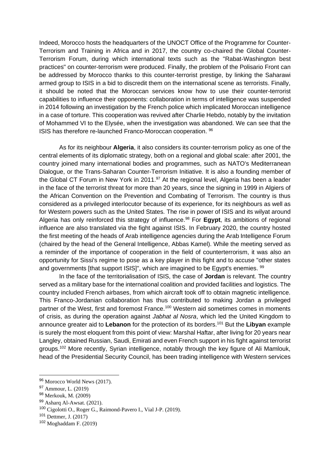Indeed, Morocco hosts the headquarters of the UNOCT Office of the Programme for Counter-Terrorism and Training in Africa and in 2017, the country co-chaired the Global Counter-Terrorism Forum, during which international texts such as the "Rabat-Washington best practices" on counter-terrorism were produced. Finally, the problem of the Polisario Front can be addressed by Morocco thanks to this counter-terrorist prestige, by linking the Saharawi armed group to ISIS in a bid to discredit them on the international scene as terrorists. Finally, it should be noted that the Moroccan services know how to use their counter-terrorist capabilities to influence their opponents: collaboration in terms of intelligence was suspended in 2014 following an investigation by the French police which implicated Moroccan intelligence in a case of torture. This cooperation was revived after Charlie Hebdo, notably by the invitation of Mohammed VI to the Elysée, when the investigation was abandoned. We can see that the ISIS has therefore re-launched Franco-Moroccan cooperation. <sup>96</sup>

As for its neighbour **Algeria**, it also considers its counter-terrorism policy as one of the central elements of its diplomatic strategy, both on a regional and global scale: after 2001, the country joined many international bodies and programmes, such as NATO's Mediterranean Dialogue, or the Trans-Saharan Counter-Terrorism Initiative. It is also a founding member of the Global CT Forum in New York in 2011.<sup>97</sup> At the regional level, Algeria has been a leader in the face of the terrorist threat for more than 20 years, since the signing in 1999 in Algiers of the African Convention on the Prevention and Combating of Terrorism. The country is thus considered as a privileged interlocutor because of its experience, for its neighbours as well as for Western powers such as the United States. The rise in power of ISIS and its wilyat around Algeria has only reinforced this strategy of influence.<sup>98</sup> For **Egypt**, its ambitions of regional influence are also translated via the fight against ISIS. In February 2020, the country hosted the first meeting of the heads of Arab intelligence agencies during the Arab Intelligence Forum (chaired by the head of the General Intelligence, Abbas Kamel). While the meeting served as a reminder of the importance of cooperation in the field of counterterrorism, it was also an opportunity for Sissi's regime to pose as a key player in this fight and to accuse "other states and governments [that support ISIS]", which are imagined to be Egypt's enemies. <sup>99</sup>

In the face of the territorialisation of ISIS, the case of **Jordan** is relevant. The country served as a military base for the international coalition and provided facilities and logistics. The country included French airbases, from which aircraft took off to obtain magnetic intelligence. This Franco-Jordanian collaboration has thus contributed to making Jordan a privileged partner of the West, first and foremost France.<sup>100</sup> Western aid sometimes comes in moments of crisis, as during the operation against *Jabhat al Nosra*, which led the United Kingdom to announce greater aid to **Lebanon** for the protection of its borders.<sup>101</sup> But the **Libyan** example is surely the most eloquent from this point of view: Marshal Haftar, after living for 20 years near Langley, obtained Russian, Saudi, Emirati and even French support in his fight against terrorist groups.<sup>102</sup> More recently, Syrian intelligence, notably through the key figure of Ali Mamlouk, head of the Presidential Security Council, has been trading intelligence with Western services

<sup>96</sup> Morocco World News (2017).

<sup>97</sup> Ammour, L. (2019)

<sup>98</sup> Merkouk, M. (2009)

<sup>99</sup> Asharq Al-Awsat. (2021).

<sup>100</sup> Cigolotti O., Roger G., Raimond-Pavero I., Vial J-P. (2019).

<sup>101</sup> Dettmer, J. (2017)

<sup>102</sup> Moghaddam F. (2019)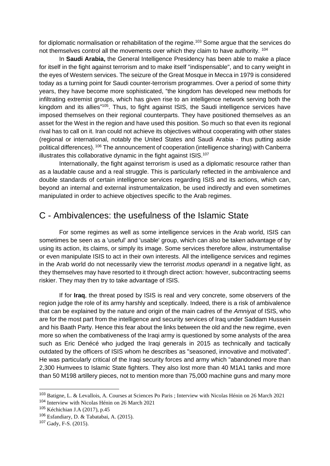for diplomatic normalisation or rehabilitation of the regime.<sup>103</sup> Some argue that the services do not themselves control all the movements over which they claim to have authority. <sup>104</sup>

In **Saudi Arabia,** the General Intelligence Presidency has been able to make a place for itself in the fight against terrorism and to make itself "indispensable", and to carry weight in the eyes of Western services. The seizure of the Great Mosque in Mecca in 1979 is considered today as a turning point for Saudi counter-terrorism programmes. Over a period of some thirty years, they have become more sophisticated, "the kingdom has developed new methods for infiltrating extremist groups, which has given rise to an intelligence network serving both the kingdom and its allies<sup>"105</sup>. Thus, to fight against ISIS, the Saudi intelligence services have imposed themselves on their regional counterparts. They have positioned themselves as an asset for the West in the region and have used this position. So much so that even its regional rival has to call on it. Iran could not achieve its objectives without cooperating with other states (regional or international, notably the United States and Saudi Arabia - thus putting aside political differences). <sup>106</sup> The announcement of cooperation (intelligence sharing) with Canberra illustrates this collaborative dynamic in the fight against  $ISIS<sub>.107</sub>$ 

Internationally, the fight against terrorism is used as a diplomatic resource rather than as a laudable cause and a real struggle. This is particularly reflected in the ambivalence and double standards of certain intelligence services regarding ISIS and its actions, which can, beyond an internal and external instrumentalization, be used indirectly and even sometimes manipulated in order to achieve objectives specific to the Arab regimes.

#### C - Ambivalences: the usefulness of the Islamic State

For some regimes as well as some intelligence services in the Arab world, ISIS can sometimes be seen as a 'useful' and 'usable' group, which can also be taken advantage of by using its action, its claims, or simply its image. Some services therefore allow, instrumentalise or even manipulate ISIS to act in their own interests. All the intelligence services and regimes in the Arab world do not necessarily view the terrorist *modus operandi* in a negative light, as they themselves may have resorted to it through direct action: however, subcontracting seems riskier. They may then try to take advantage of ISIS.

If for **Iraq**, the threat posed by ISIS is real and very concrete, some observers of the region judge the role of its army harshly and sceptically. Indeed, there is a risk of ambivalence that can be explained by the nature and origin of the main cadres of the *Amniyat* of ISIS, who are for the most part from the intelligence and security services of Iraq under Saddam Hussein and his Baath Party. Hence this fear about the links between the old and the new regime, even more so when the combativeness of the Iraqi army is questioned by some analysts of the area such as Eric Denécé who judged the Iraqi generals in 2015 as technically and tactically outdated by the officers of ISIS whom he describes as "seasoned, innovative and motivated". He was particularly critical of the Iraqi security forces and army which "abandoned more than 2,300 Humvees to Islamic State fighters. They also lost more than 40 M1A1 tanks and more than 50 M198 artillery pieces, not to mention more than 75,000 machine guns and many more

<sup>103</sup> Batigne, L. & Levallois, A. Courses at Sciences Po Paris ; Interview with Nicolas Hénin on 26 March 2021

<sup>104</sup> Interview with Nicolas Hénin on 26 March 2021

<sup>105</sup> Kéchichian J.A (2017), p.45

<sup>106</sup> Esfandiary, D. & Tabatabai, A. (2015).

<sup>107</sup> Gady, F-S. (2015).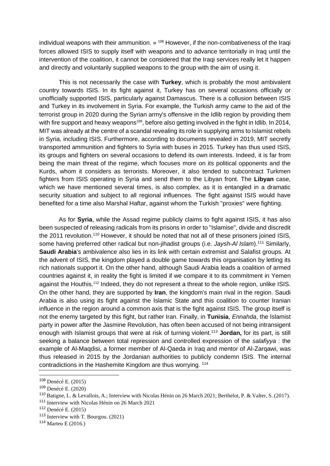individual weapons with their ammunition. »<sup>108</sup> However, if the non-combativeness of the Iraqi forces allowed ISIS to supply itself with weapons and to advance territorially in Iraq until the intervention of the coalition, it cannot be considered that the Iraqi services really let it happen and directly and voluntarily supplied weapons to the group with the aim of using it.

This is not necessarily the case with **Turkey**, which is probably the most ambivalent country towards ISIS. In its fight against it, Turkey has on several occasions officially or unofficially supported ISIS, particularly against Damascus. There is a collusion between ISIS and Turkey in its involvement in Syria. For example, the Turkish army came to the aid of the terrorist group in 2020 during the Syrian army's offensive in the Idlib region by providing them with fire support and heavy weapons<sup>109</sup>, before also getting involved in the fight in Idlib. In 2014, MIT was already at the centre of a scandal revealing its role in supplying arms to Islamist rebels in Syria, including ISIS. Furthermore, according to documents revealed in 2019, MIT secretly transported ammunition and fighters to Syria with buses in 2015. Turkey has thus used ISIS, its groups and fighters on several occasions to defend its own interests. Indeed, it is far from being the main threat of the regime, which focuses more on its political opponents and the Kurds, whom it considers as terrorists. Moreover, it also tended to subcontract Turkmen fighters from ISIS operating in Syria and send them to the Libyan front. The **Libyan** case, which we have mentioned several times, is also complex, as it is entangled in a dramatic security situation and subject to all regional influences. The fight against ISIS would have benefited for a time also Marshal Haftar, against whom the Turkish "proxies" were fighting.

As for **Syria**, while the Assad regime publicly claims to fight against ISIS, it has also been suspected of releasing radicals from its prisons in order to "Islamise", divide and discredit the 2011 revolution.<sup>110</sup> However, it should be noted that not all of these prisoners joined ISIS, some having preferred other radical but non-jihadist groups (i.e. *Jaysh-Al Islam*).<sup>111</sup> Similarly, **Saudi Arabia**'s ambivalence also lies in its link with certain extremist and Salafist groups. At the advent of ISIS, the kingdom played a double game towards this organisation by letting its rich nationals support it. On the other hand, although Saudi Arabia leads a coalition of armed countries against it, in reality the fight is limited if we compare it to its commitment in Yemen against the Houthis.<sup>112</sup> Indeed, they do not represent a threat to the whole region, unlike ISIS. On the other hand, they are supported by **Iran**, the kingdom's main rival in the region. Saudi Arabia is also using its fight against the Islamic State and this coalition to counter Iranian influence in the region around a common axis that is the fight against ISIS. The group itself is not the enemy targeted by this fight, but rather Iran. Finally, in **Tunisia**, *Ennahda*, the Islamist party in power after the Jasmine Revolution, has often been accused of not being intransigent enough with Islamist groups that were at risk of turning violent.<sup>113</sup> **Jordan,** for its part, is still seeking a balance between total repression and controlled expression of the *salafiyya* : the example of Al-Maqdisi, a former member of Al-Qaeda in Iraq and mentor of Al-Zarqawi, was thus released in 2015 by the Jordanian authorities to publicly condemn ISIS. The internal contradictions in the Hashemite Kingdom are thus worrying. <sup>114</sup>

<sup>108</sup> Denécé E. (2015)

<sup>109</sup> Denécé E. (2020)

<sup>110</sup> Batigne, L. & Levallois, A.; Interview with Nicolas Hénin on 26 March 2021; Berthelot, P. & Valter, S. (2017).

<sup>111</sup> Interview with Nicolas Hénin on 26 March 2021

<sup>112</sup> Denécé E. (2015)

<sup>113</sup> Interview with T. Bourgou. (2021)

<sup>114</sup> Marteu E (2016.)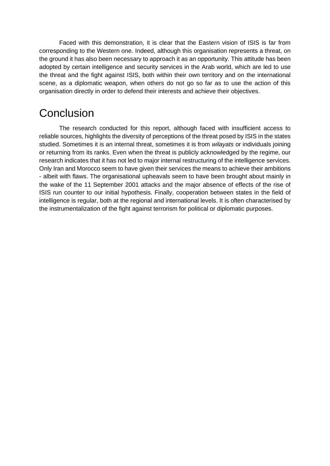Faced with this demonstration, it is clear that the Eastern vision of ISIS is far from corresponding to the Western one. Indeed, although this organisation represents a threat, on the ground it has also been necessary to approach it as an opportunity. This attitude has been adopted by certain intelligence and security services in the Arab world, which are led to use the threat and the fight against ISIS, both within their own territory and on the international scene, as a diplomatic weapon, when others do not go so far as to use the action of this organisation directly in order to defend their interests and achieve their objectives.

## **Conclusion**

The research conducted for this report, although faced with insufficient access to reliable sources, highlights the diversity of perceptions of the threat posed by ISIS in the states studied. Sometimes it is an internal threat, sometimes it is from *wilayats* or individuals joining or returning from its ranks. Even when the threat is publicly acknowledged by the regime, our research indicates that it has not led to major internal restructuring of the intelligence services. Only Iran and Morocco seem to have given their services the means to achieve their ambitions - albeit with flaws. The organisational upheavals seem to have been brought about mainly in the wake of the 11 September 2001 attacks and the major absence of effects of the rise of ISIS run counter to our initial hypothesis. Finally, cooperation between states in the field of intelligence is regular, both at the regional and international levels. It is often characterised by the instrumentalization of the fight against terrorism for political or diplomatic purposes.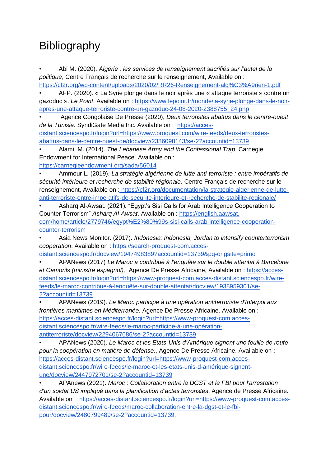# **Bibliography**

• Abi M. (2020). *Algérie : les services de renseignement sacrifiés sur l'autel de la politique*, Centre Français de recherche sur le renseignement, Available on [:](https://cf2r.org/wp-content/uploads/2020/02/RR26-Renseignement-alg%C3%A9rien-1.pdf)

<https://cf2r.org/wp-content/uploads/2020/02/RR26-Renseignement-alg%C3%A9rien-1.pdf> • AFP. (2020). « La Syrie plonge dans le noir après une « attaque terroriste » contre un gazoduc ». *Le Point*. Available on : [https://www.lepoint.fr/monde/la-syrie-plonge-dans-le-noir](https://www.lepoint.fr/monde/la-syrie-plonge-dans-le-noir-apres-une-attaque-terroriste-contre-un-gazoduc-24-08-2020-2388755_24.php)[apres-une-attaque-terroriste-contre-un-gazoduc-24-08-2020-2388755\\_24.php](https://www.lepoint.fr/monde/la-syrie-plonge-dans-le-noir-apres-une-attaque-terroriste-contre-un-gazoduc-24-08-2020-2388755_24.php)

• Agence Congolaise De Presse (2020), *Deux terroristes abattus dans le centre-ouest de la Tunisie.* SyndiGate Media Inc. Available on : [https://acces](https://acces-distant.sciencespo.fr/login?url=https://www.proquest.com/wire-feeds/deux-terroristes-abattus-dans-le-centre-ouest-de/docview/2386098143/se-2?accountid=13739)[distant.sciencespo.fr/login?url=https://www.proquest.com/wire-feeds/deux-terroristes](https://acces-distant.sciencespo.fr/login?url=https://www.proquest.com/wire-feeds/deux-terroristes-abattus-dans-le-centre-ouest-de/docview/2386098143/se-2?accountid=13739)[abattus-dans-le-centre-ouest-de/docview/2386098143/se-2?accountid=13739](https://acces-distant.sciencespo.fr/login?url=https://www.proquest.com/wire-feeds/deux-terroristes-abattus-dans-le-centre-ouest-de/docview/2386098143/se-2?accountid=13739)

• Alami, M. (2014). *The Lebanese Army and the Confessional Trap*, Carnegie Endowment for International Peace. Available on :

<https://carnegieendowment.org/sada/56014>

• Ammour L. (2019). *La stratégie algérienne de lutte anti-terroriste : entre impératifs de sécurité intérieure et recherche de stabilité régionale,* Centre Français de recherche sur le renseignement, Available on : [https://cf2r.org/documentation/la-strategie-algerienne-de-lutte](https://cf2r.org/documentation/la-strategie-algerienne-de-lutte-anti-terroriste-entre-imperatifs-de-securite-interieure-et-recherche-de-stabilite-regionale/)[anti-terroriste-entre-imperatifs-de-securite-interieure-et-recherche-de-stabilite-regionale/](https://cf2r.org/documentation/la-strategie-algerienne-de-lutte-anti-terroriste-entre-imperatifs-de-securite-interieure-et-recherche-de-stabilite-regionale/)

• Asharq Al-Awsat. (2021). "Egypt's Sisi Calls for Arab Intelligence Cooperation to Counter Terrorism" *Asharq Al-Awsat*. Available on : [https://english.aawsat.](https://english.aawsat.com/home/article/2779746/egypt%E2%80%99s-sisi-calls-arab-intelligence-cooperation-counter-terrorism)  [com/home/article/2779746/egypt%E2%80%99s-sisi-calls-arab-intelligence-cooperation](https://english.aawsat.com/home/article/2779746/egypt%E2%80%99s-sisi-calls-arab-intelligence-cooperation-counter-terrorism)[counter-terrorism](https://english.aawsat.com/home/article/2779746/egypt%E2%80%99s-sisi-calls-arab-intelligence-cooperation-counter-terrorism)

• Asia News Monitor. (2017). *Indonesia: Indonesia, Jordan to intensify counterterrorism cooperation*. Available on : [https://search-proquest-com.acces](https://search-proquest-com.acces-distant.sciencespo.fr/docview/1947498389?accountid=13739&pq-origsite=primo)[distant.sciencespo.fr/docview/1947498389?accountid=13739&pq-origsite=primo](https://search-proquest-com.acces-distant.sciencespo.fr/docview/1947498389?accountid=13739&pq-origsite=primo)

• APANews (2017) *Le Maroc a contribué à l'enquête sur le double attentat à Barcelone et Cambrils (ministre espagnol),* Agence De Presse Africaine, Available on : [https://acces](https://acces-distant.sciencespo.fr/login?url=https://www-proquest-com.acces-distant.sciencespo.fr/wire-feeds/le-maroc-contribue-%C3%A0-lenqu%C3%AAte-sur-double-attentat/docview/1938959301/se-2?accountid=13739)[distant.sciencespo.fr/login?url=https://www-proquest-com.acces-distant.sciencespo.fr/wire](https://acces-distant.sciencespo.fr/login?url=https://www-proquest-com.acces-distant.sciencespo.fr/wire-feeds/le-maroc-contribue-%C3%A0-lenqu%C3%AAte-sur-double-attentat/docview/1938959301/se-2?accountid=13739)[feeds/le-maroc-contribue-à-lenquête-sur-double-attentat/docview/1938959301/se-](https://acces-distant.sciencespo.fr/login?url=https://www-proquest-com.acces-distant.sciencespo.fr/wire-feeds/le-maroc-contribue-%C3%A0-lenqu%C3%AAte-sur-double-attentat/docview/1938959301/se-2?accountid=13739)[2?accountid=13739](https://acces-distant.sciencespo.fr/login?url=https://www-proquest-com.acces-distant.sciencespo.fr/wire-feeds/le-maroc-contribue-%C3%A0-lenqu%C3%AAte-sur-double-attentat/docview/1938959301/se-2?accountid=13739)

• APANews (2019). *Le Maroc participe à une opération antiterroriste d'Interpol aux frontières maritimes en Méditerranée.* Agence De Presse Africaine. Available on : [https://acces-distant.sciencespo.fr/login?url=https://www-proquest-com.acces](https://acces-distant.sciencespo.fr/login?url=https://www-proquest-com.acces-distant.sciencespo.fr/wire-feeds/le-maroc-participe-%C3%A0-une-op%C3%A9ration-antiterroriste/docview/2294067086/se-2?accountid=13739)[distant.sciencespo.fr/wire-feeds/le-maroc-participe-à-une-opération](https://acces-distant.sciencespo.fr/login?url=https://www-proquest-com.acces-distant.sciencespo.fr/wire-feeds/le-maroc-participe-%C3%A0-une-op%C3%A9ration-antiterroriste/docview/2294067086/se-2?accountid=13739)[antiterroriste/docview/2294067086/se-2?accountid=13739](https://acces-distant.sciencespo.fr/login?url=https://www-proquest-com.acces-distant.sciencespo.fr/wire-feeds/le-maroc-participe-%C3%A0-une-op%C3%A9ration-antiterroriste/docview/2294067086/se-2?accountid=13739)

• APANews (2020). *Le Maroc et les Etats-Unis d'Amérique signent une feuille de route pour la coopération en matière de défense.*, Agence De Presse Africaine. Available on [:](https://acces-distant.sciencespo.fr/login?url=https://www-proquest-com.acces-distant.sciencespo.fr/wire-feeds/le-maroc-et-les-etats-unis-d-am%C3%A9rique-signent-une/docview/2447972701/se-2?accountid=13739) [https://acces-distant.sciencespo.fr/login?url=https://www-proquest-com.acces](https://acces-distant.sciencespo.fr/login?url=https://www-proquest-com.acces-distant.sciencespo.fr/wire-feeds/le-maroc-et-les-etats-unis-d-am%C3%A9rique-signent-une/docview/2447972701/se-2?accountid=13739)[distant.sciencespo.fr/wire-feeds/le-maroc-et-les-etats-unis-d-amérique-signent](https://acces-distant.sciencespo.fr/login?url=https://www-proquest-com.acces-distant.sciencespo.fr/wire-feeds/le-maroc-et-les-etats-unis-d-am%C3%A9rique-signent-une/docview/2447972701/se-2?accountid=13739)[une/docview/2447972701/se-2?accountid=13739](https://acces-distant.sciencespo.fr/login?url=https://www-proquest-com.acces-distant.sciencespo.fr/wire-feeds/le-maroc-et-les-etats-unis-d-am%C3%A9rique-signent-une/docview/2447972701/se-2?accountid=13739)

• APAnews (2021). *Maroc : Collaboration entre la DGST et le FBI pour l'arrestation d'un soldat US impliqué dans la planification d'actes terroristes*. Agence de Presse Africaine. Available on : [https://acces-distant.sciencespo.fr/login?url=https://www-proquest-com.acces](https://acces-distant.sciencespo.fr/login?url=https://www-proquest-com.acces-distant.sciencespo.fr/wire-feeds/maroc-collaboration-entre-la-dgst-et-le-fbi-pour/docview/2480799489/se-2?accountid=13739)[distant.sciencespo.fr/wire-feeds/maroc-collaboration-entre-la-dgst-et-le-fbi](https://acces-distant.sciencespo.fr/login?url=https://www-proquest-com.acces-distant.sciencespo.fr/wire-feeds/maroc-collaboration-entre-la-dgst-et-le-fbi-pour/docview/2480799489/se-2?accountid=13739)[pour/docview/2480799489/se-2?accountid=13739.](https://acces-distant.sciencespo.fr/login?url=https://www-proquest-com.acces-distant.sciencespo.fr/wire-feeds/maroc-collaboration-entre-la-dgst-et-le-fbi-pour/docview/2480799489/se-2?accountid=13739)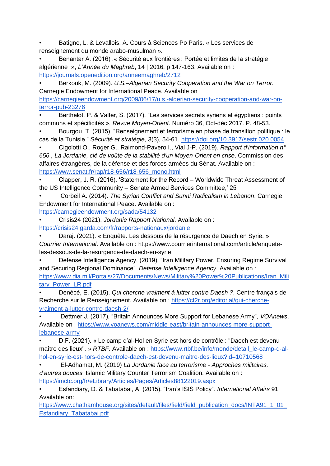• Batigne, L. & Levallois, A. Cours à Sciences Po Paris. « Les services de renseignement du monde arabo-musulman ».

• Benantar A. (2016) .« Sécurité aux frontières : Portée et limites de la stratégie algérienne », *L'Année du Maghreb*, 14 | 2016, p 147-163. Available on [:](https://journals.openedition.org/anneemaghreb/2712) <https://journals.openedition.org/anneemaghreb/2712>

• Berkouk, M. (2009). *U.S.–Algerian Security Cooperation and the War on Terror.* Carnegie Endowment for International Peace. Available on [:](https://carnegieendowment.org/2009/06/17/u.s.-algerian-security-cooperation-and-war-on-terror-pub-23276)

[https://carnegieendowment.org/2009/06/17/u.s.-algerian-security-cooperation-and-war-on](https://carnegieendowment.org/2009/06/17/u.s.-algerian-security-cooperation-and-war-on-terror-pub-23276)[terror-pub-23276](https://carnegieendowment.org/2009/06/17/u.s.-algerian-security-cooperation-and-war-on-terror-pub-23276)

Berthelot, P. & Valter, S. (2017). "Les services secrets syriens et égyptiens : points communs et spécificités ». *Revue Moyen-Orient*. Numéro 36, Oct-déc 2017. P. 48-53.

• Bourgou, T. (2015). "Renseignement et terrorisme en phase de transition politique : le cas de la Tunisie." *Sécurité et stratégie*, 3(3), 54-61.<https://doi.org/10.3917/sestr.020.0054>

• Cigolotti O., Roger G., Raimond-Pavero I., Vial J-P. (2019). *Rapport d'information n° 656 , La Jordanie, clé de voûte de la stabilité d'un Moyen-Orient en crise*. Commission des affaires étrangères, de la défense et des forces armées du Sénat. Available on : [https://www.senat.fr/rap/r18-656/r18-656\\_mono.html](https://www.senat.fr/rap/r18-656/r18-656_mono.html)

• Clapper, J. R. (2016). 'Statement for the Record – Worldwide Threat Assessment of the US Intelligence Community – Senate Armed Services Committee,' 25

• Corbeil A. (2014). *The Syrian Conflict and Sunni Radicalism in Lebanon*. Carnegie Endowment for International Peace. Available on [:](https://carnegieendowment.org/sada/54132)

<https://carnegieendowment.org/sada/54132>

• Crisis24 (2021), *Jordanie Rapport National*. Available on :

<https://crisis24.garda.com/fr/rapports-nationaux/jordanie>

• Daraj. (2021). « Enquête. Les dessous de la résurgence de Daech en Syrie. » *Courrier International*. Available on : https://www.courrierinternational.com/article/enqueteles-dessous-de-la-resurgence-de-daech-en-syrie

• Defense Intelligence Agency. (2019). "Iran Military Power. Ensuring Regime Survival and Securing Regional Dominance". *Defense Intelligence Agency*. Available on : [https://www.dia.mil/Portals/27/Documents/News/Military%20Power%20Publications/Iran\\_Mili](https://www.dia.mil/Portals/27/Documents/News/Military%20Power%20Publications/Iran_Military_Power_LR.pdf) tary Power LR.pdf

• Denécé, E. (2015). *Qui cherche vraiment à lutter contre Daesh ?*, Centre français de Recherche sur le Renseignement. Available on : [https://cf2r.org/editorial/qui-cherche](https://cf2r.org/editorial/qui-cherche-vraiment-a-lutter-contre-daesh-2/)[vraiment-a-lutter-contre-daesh-2/](https://cf2r.org/editorial/qui-cherche-vraiment-a-lutter-contre-daesh-2/)

• Dettmer J. (2017), "Britain Announces More Support for Lebanese Army", *VOAnews*. Available on : [https://www.voanews.com/middle-east/britain-announces-more-support](https://www.voanews.com/middle-east/britain-announces-more-support-lebanese-army)[lebanese-army](https://www.voanews.com/middle-east/britain-announces-more-support-lebanese-army)

• D.F. (2021). « Le camp d'al-Hol en Syrie est hors de contrôle : "Daech est devenu maître des lieux". » *RTBF*. Available on : [https://www.rtbf.be/info/monde/detail\\_le-camp-d-al](https://www.rtbf.be/info/monde/detail_le-camp-d-al-hol-en-syrie-est-hors-de-controle-daech-est-devenu-maitre-des-lieux?id=10710568)[hol-en-syrie-est-hors-de-controle-daech-est-devenu-maitre-des-lieux?id=10710568](https://www.rtbf.be/info/monde/detail_le-camp-d-al-hol-en-syrie-est-hors-de-controle-daech-est-devenu-maitre-des-lieux?id=10710568)

• El-Adhamat, M. (2019) *La Jordanie face au terrorisme - Approches militaires, d'autres douces.* Islamic Military Counter Terrorism Coalition. Available on : <https://imctc.org/fr/eLibrary/Articles/Pages/Articles88122019.aspx>

• Esfandiary, D. & Tabatabai, A. (2015). "Iran's ISIS Policy". *International Affairs* 91. Available on:

https://www.chathamhouse.org/sites/default/files/field/field\_publication\_docs/INTA91\_1\_01 [Esfandiary\\_Tabatabai.pdf](https://www.chathamhouse.org/sites/default/files/field/field_publication_docs/INTA91_1_01_Esfandiary_Tabatabai.pdf)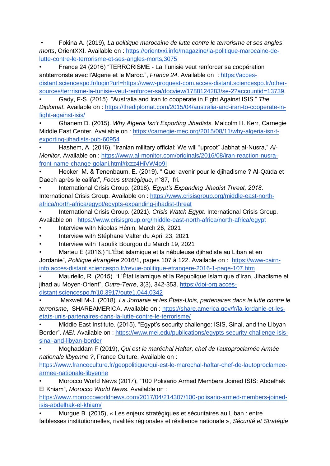• Fokina A. (2019), *La politique marocaine de lutte contre le terrorisme et ses angles morts*, OrientXXI. Available on : [https://orientxxi.info/magazine/la-politique-marocaine-de](https://orientxxi.info/magazine/la-politique-marocaine-de-lutte-contre-le-terrorisme-et-ses-angles-morts,3075)[lutte-contre-le-terrorisme-et-ses-angles-morts,3075](https://orientxxi.info/magazine/la-politique-marocaine-de-lutte-contre-le-terrorisme-et-ses-angles-morts,3075)

• France 24 (2016) "TERRORISME - La Tunisie veut renforcer sa coopération antiterroriste avec l'Algerie et le Maroc.", *France 24*. Available on : [https://acces](https://acces-distant.sciencespo.fr/login?url=https://www-proquest-com.acces-distant.sciencespo.fr/other-sources/terrorisme-la-tunisie-veut-renforcer-sa/docview/1788124283/se-2?accountid=13739)[distant.sciencespo.fr/login?url=https://www-proquest-com.acces-distant.sciencespo.fr/other](https://acces-distant.sciencespo.fr/login?url=https://www-proquest-com.acces-distant.sciencespo.fr/other-sources/terrorisme-la-tunisie-veut-renforcer-sa/docview/1788124283/se-2?accountid=13739)[sources/terrrisme-la-tunisie-veut-renforcer-sa/docview/1788124283/se-2?accountid=13739.](https://acces-distant.sciencespo.fr/login?url=https://www-proquest-com.acces-distant.sciencespo.fr/other-sources/terrorisme-la-tunisie-veut-renforcer-sa/docview/1788124283/se-2?accountid=13739)

• Gady, F-S. (2015). "Australia and Iran to cooperate in Fight Against ISIS." *The Diplomat.* Available on : [https://thediplomat.com/2015/04/australia-and-iran-to-cooperate-in](https://thediplomat.com/2015/04/australia-and-iran-to-cooperate-in-fight-against-isis/)[fight-against-isis/](https://thediplomat.com/2015/04/australia-and-iran-to-cooperate-in-fight-against-isis/)

• Ghanem D. (2015). *Why Algeria Isn't Exporting Jihadists.* Malcolm H. Kerr, Carnegie Middle East Center. Available on : [https://carnegie-mec.org/2015/08/11/why-algeria-isn-t](https://carnegie-mec.org/2015/08/11/why-algeria-isn-t-exporting-jihadists-pub-60954)[exporting-jihadists-pub-60954](https://carnegie-mec.org/2015/08/11/why-algeria-isn-t-exporting-jihadists-pub-60954)

• Hashem, A. (2016). "Iranian military official: We will "uproot" Jabhat al-Nusra," *Al-Monitor*. Available on : [https://www.al-monitor.com/originals/2016/08/iran-reaction-nusra](https://www.al-monitor.com/originals/2016/08/iran-reaction-nusra-front-name-change-golani.html#ixzz4HiVW4o9I)[front-name-change-golani.html#ixzz4HiVW4o9I](https://www.al-monitor.com/originals/2016/08/iran-reaction-nusra-front-name-change-golani.html#ixzz4HiVW4o9I)

• Hecker, M. & Tenenbaum, E. (2019). " Quel avenir pour le djihadisme ? Al-Qaïda et Daech après le califat", *Focus stratégique*, n°87, Ifri.

• International Crisis Group. (2018). *Egypt's Expanding Jihadist Threat, 2018*. International Crisis Group. Available on : [https://www.crisisgroup.org/middle-east-north](https://www.crisisgroup.org/middle-east-north-africa/north-africa/egypt/egypts-expanding-jihadist-threat)[africa/north-africa/egypt/egypts-expanding-jihadist-threat](https://www.crisisgroup.org/middle-east-north-africa/north-africa/egypt/egypts-expanding-jihadist-threat)

• International Crisis Group. (2021). *Crisis Watch Egypt*. International Crisis Group. Available on : https://www.crisisgroup.org/middle-east-north-africa/north-africa/egypt

- Interview with Nicolas Hénin, March 26, 2021
- Interview with Stéphane Valter du April 23, 2021
- Interview with Taoufik Bourgou du March 19, 2021

• Marteu E (2016.) "L'État islamique et la nébuleuse djihadiste au Liban et en Jordanie", *Politique étrangère* 2016/1, pages 107 à 122. Available on : [https://www-cairn-](https://www-cairn-info.acces-distant.sciencespo.fr/revue-politique-etrangere-2016-1-page-107.htm)

[info.acces-distant.sciencespo.fr/revue-politique-etrangere-2016-1-page-107.htm](https://www-cairn-info.acces-distant.sciencespo.fr/revue-politique-etrangere-2016-1-page-107.htm)

• Mauriello, R. (2015). "L'État islamique et la République islamique d'Iran, Jihadisme et jihad au Moyen-Orient". *Outre-Terre*, 3(3), 342-353. [https://doi-org.acces](https://doi-org.acces-distant.sciencespo.fr/10.3917/oute1.044.0342)[distant.sciencespo.fr/10.3917/oute1.044.0342](https://doi-org.acces-distant.sciencespo.fr/10.3917/oute1.044.0342) 

• Maxwell M-J. (2018). *La Jordanie et les États-Unis, partenaires dans la lutte contre le terrorisme*, SHAREAMERICA. Available on : [https://share.america.gov/fr/la-jordanie-et-les](https://share.america.gov/fr/la-jordanie-et-les-etats-unis-partenaires-dans-la-lutte-contre-le-terrorisme/)[etats-unis-partenaires-dans-la-lutte-contre-le-terrorisme/](https://share.america.gov/fr/la-jordanie-et-les-etats-unis-partenaires-dans-la-lutte-contre-le-terrorisme/)

• Middle East Institute. (2015). "Egypt's security challenge: ISIS, Sinai, and the Libyan Border". *MEI*. Available on : [https://www.mei.edu/publications/egypts-security-challenge-isis](https://www.mei.edu/publications/egypts-security-challenge-isis-sinai-and-libyan-border)[sinai-and-libyan-border](https://www.mei.edu/publications/egypts-security-challenge-isis-sinai-and-libyan-border)

• Moghaddam F (2019), *Qui est le maréchal Haftar, chef de l'autoproclamée Armée nationale libyenne ?*, France Culture, Available on :

[https://www.franceculture.fr/geopolitique/qui-est-le-marechal-haftar-chef-de-lautoproclamee](https://www.franceculture.fr/geopolitique/qui-est-le-marechal-haftar-chef-de-lautoproclamee-armee-nationale-libyenne)[armee-nationale-libyenne](https://www.franceculture.fr/geopolitique/qui-est-le-marechal-haftar-chef-de-lautoproclamee-armee-nationale-libyenne)

• Morocco World News (2017), "100 Polisario Armed Members Joined ISIS: Abdelhak El Khiam", *Morocco World New*s. Available on :

[https://www.moroccoworldnews.com/2017/04/214307/100-polisario-armed-members-joined](https://www.moroccoworldnews.com/2017/04/214307/100-polisario-armed-members-joined-isis-abdelhak-el-khiam/)[isis-abdelhak-el-khiam/](https://www.moroccoworldnews.com/2017/04/214307/100-polisario-armed-members-joined-isis-abdelhak-el-khiam/)

• Murgue B. (2015), « Les enjeux stratégiques et sécuritaires au Liban : entre faiblesses institutionnelles, rivalités régionales et résilience nationale », *Sécurité et Stratégie*